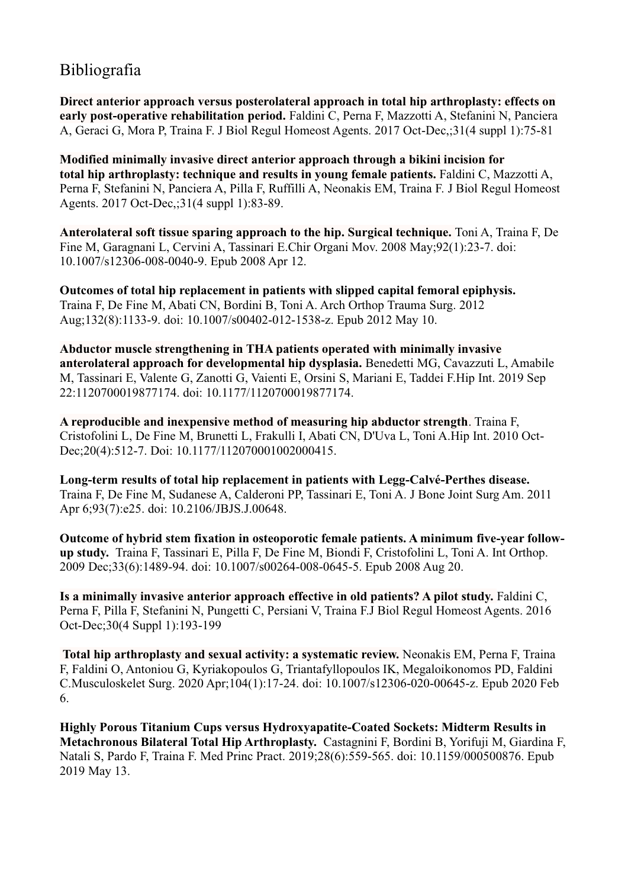## Bibliografia

**Direct anterior approach versus posterolateral approach in total hip arthroplasty: effects on early post-operative rehabilitation period.** Faldini C, Perna F, Mazzotti A, Stefanini N, Panciera A, Geraci G, Mora P, Traina F. J Biol Regul Homeost Agents. 2017 Oct-Dec,;31(4 suppl 1):75-81

**Modified minimally invasive direct anterior approach through a bikini incision for total hip arthroplasty: technique and results in young female patients.** Faldini C, Mazzotti A, Perna F, Stefanini N, Panciera A, Pilla F, Ruffilli A, Neonakis EM, Traina F. J Biol Regul Homeost Agents. 2017 Oct-Dec,;31(4 suppl 1):83-89.

**Anterolateral soft tissue sparing approach to the hip. Surgical technique.** Toni A, Traina F, De Fine M, Garagnani L, Cervini A, Tassinari E.Chir Organi Mov. 2008 May;92(1):23-7. doi: 10.1007/s12306-008-0040-9. Epub 2008 Apr 12.

**[Outcomes of total hip replacement in patients with slipped capital femoral epiphysis.](https://pubmed.ncbi.nlm.nih.gov/22573258/)**  Traina F, De Fine M, Abati CN, Bordini B, Toni A. Arch Orthop Trauma Surg. 2012 Aug;132(8):1133-9. doi: 10.1007/s00402-012-1538-z. Epub 2012 May 10.

**Abductor muscle strengthening in THA patients operated with minimally invasive anterolateral approach for developmental hip dysplasia.** Benedetti MG, Cavazzuti L, Amabile M, Tassinari E, Valente G, Zanotti G, Vaienti E, Orsini S, Mariani E, Taddei F.Hip Int. 2019 Sep 22:1120700019877174. doi: 10.1177/1120700019877174.

**A reproducible and inexpensive method of measuring hip abductor strength**. Traina F, Cristofolini L, De Fine M, Brunetti L, Frakulli I, Abati CN, D'Uva L, Toni A.Hip Int. 2010 Oct-Dec;20(4):512-7. Doi: 10.1177/112070001002000415.

**Long-term results of total hip replacement in patients with Legg-Calvé-Perthes disease.** Traina F, De Fine M, Sudanese A, Calderoni PP, Tassinari E, Toni A. J Bone Joint Surg Am. 2011 Apr 6;93(7):e25. doi: 10.2106/JBJS.J.00648.

**Outcome of hybrid stem fixation in osteoporotic female patients. A minimum five-year followup study.** Traina F, Tassinari E, Pilla F, De Fine M, Biondi F, Cristofolini L, Toni A. Int Orthop. 2009 Dec;33(6):1489-94. doi: 10.1007/s00264-008-0645-5. Epub 2008 Aug 20.

**Is a minimally invasive anterior approach effective in old patients? A pilot study.** Faldini C, Perna F, Pilla F, Stefanini N, Pungetti C, Persiani V, Traina F.J Biol Regul Homeost Agents. 2016 Oct-Dec;30(4 Suppl 1):193-199

**Total hip arthroplasty and sexual activity: a systematic review.** Neonakis EM, Perna F, Traina F, Faldini O, Antoniou G, Kyriakopoulos G, Triantafyllopoulos IK, Megaloikonomos PD, Faldini C.Musculoskelet Surg. 2020 Apr;104(1):17-24. doi: 10.1007/s12306-020-00645-z. Epub 2020 Feb 6.

**Highly Porous Titanium Cups versus Hydroxyapatite-Coated Sockets: Midterm Results in Metachronous Bilateral Total Hip Arthroplasty.** Castagnini F, Bordini B, Yorifuji M, Giardina F, Natali S, Pardo F, Traina F. Med Princ Pract. 2019;28(6):559-565. doi: 10.1159/000500876. Epub 2019 May 13.